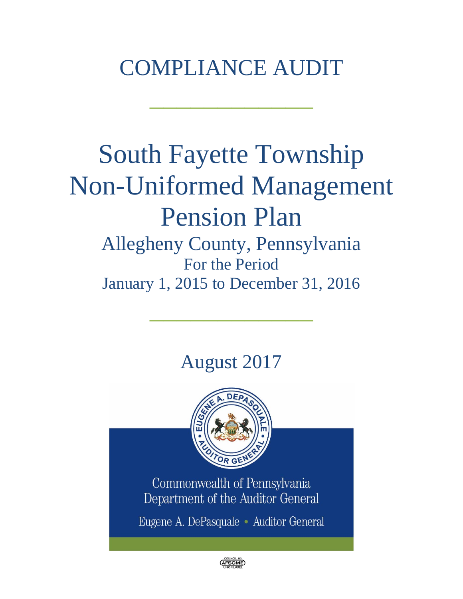## COMPLIANCE AUDIT

 $\frac{1}{2}$  , where  $\frac{1}{2}$  , where  $\frac{1}{2}$ 

# South Fayette Township Non-Uniformed Management Pension Plan

### Allegheny County, Pennsylvania For the Period January 1, 2015 to December 31, 2016

 $\frac{1}{2}$  , where  $\frac{1}{2}$  , where  $\frac{1}{2}$ 

## August 2017



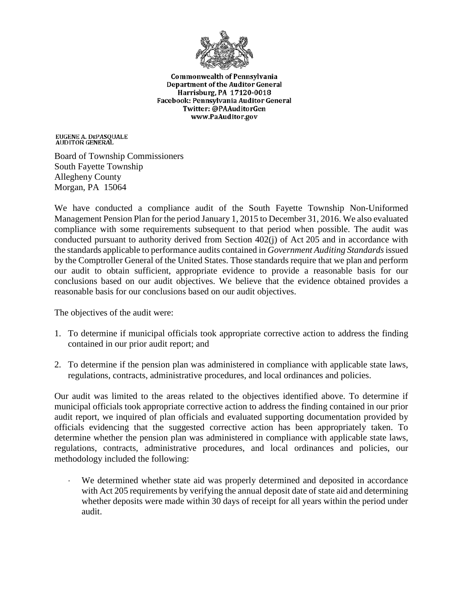

**Commonwealth of Pennsylvania** Department of the Auditor General Harrisburg, PA 17120-0018 Facebook: Pennsylvania Auditor General Twitter: @PAAuditorGen www.PaAuditor.gov

EUGENE A. DEPASQUALE<br>AUDITOR GENERAL

Board of Township Commissioners South Fayette Township Allegheny County Morgan, PA 15064

We have conducted a compliance audit of the South Fayette Township Non-Uniformed Management Pension Plan for the period January 1, 2015 to December 31, 2016. We also evaluated compliance with some requirements subsequent to that period when possible. The audit was conducted pursuant to authority derived from Section 402(j) of Act 205 and in accordance with the standards applicable to performance audits contained in *Government Auditing Standards*issued by the Comptroller General of the United States. Those standards require that we plan and perform our audit to obtain sufficient, appropriate evidence to provide a reasonable basis for our conclusions based on our audit objectives. We believe that the evidence obtained provides a reasonable basis for our conclusions based on our audit objectives.

The objectives of the audit were:

- 1. To determine if municipal officials took appropriate corrective action to address the finding contained in our prior audit report; and
- 2. To determine if the pension plan was administered in compliance with applicable state laws, regulations, contracts, administrative procedures, and local ordinances and policies.

Our audit was limited to the areas related to the objectives identified above. To determine if municipal officials took appropriate corrective action to address the finding contained in our prior audit report, we inquired of plan officials and evaluated supporting documentation provided by officials evidencing that the suggested corrective action has been appropriately taken. To determine whether the pension plan was administered in compliance with applicable state laws, regulations, contracts, administrative procedures, and local ordinances and policies, our methodology included the following:

We determined whether state aid was properly determined and deposited in accordance with Act 205 requirements by verifying the annual deposit date of state aid and determining whether deposits were made within 30 days of receipt for all years within the period under audit.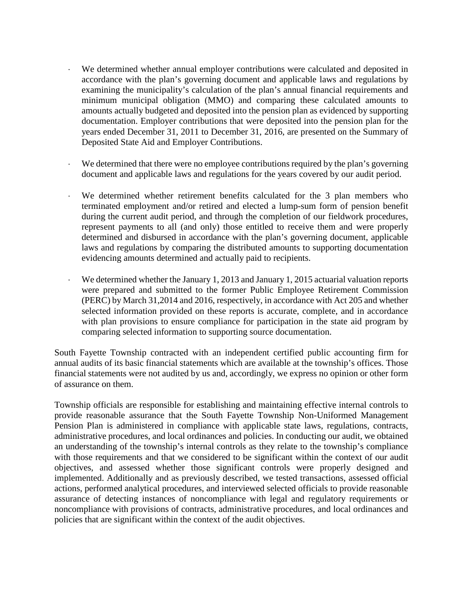- We determined whether annual employer contributions were calculated and deposited in accordance with the plan's governing document and applicable laws and regulations by examining the municipality's calculation of the plan's annual financial requirements and minimum municipal obligation (MMO) and comparing these calculated amounts to amounts actually budgeted and deposited into the pension plan as evidenced by supporting documentation. Employer contributions that were deposited into the pension plan for the years ended December 31, 2011 to December 31, 2016, are presented on the Summary of Deposited State Aid and Employer Contributions.
- We determined that there were no employee contributions required by the plan's governing document and applicable laws and regulations for the years covered by our audit period.
- We determined whether retirement benefits calculated for the 3 plan members who terminated employment and/or retired and elected a lump-sum form of pension benefit during the current audit period, and through the completion of our fieldwork procedures, represent payments to all (and only) those entitled to receive them and were properly determined and disbursed in accordance with the plan's governing document, applicable laws and regulations by comparing the distributed amounts to supporting documentation evidencing amounts determined and actually paid to recipients.
- We determined whether the January 1, 2013 and January 1, 2015 actuarial valuation reports were prepared and submitted to the former Public Employee Retirement Commission (PERC) by March 31,2014 and 2016, respectively, in accordance with Act 205 and whether selected information provided on these reports is accurate, complete, and in accordance with plan provisions to ensure compliance for participation in the state aid program by comparing selected information to supporting source documentation.

South Fayette Township contracted with an independent certified public accounting firm for annual audits of its basic financial statements which are available at the township's offices. Those financial statements were not audited by us and, accordingly, we express no opinion or other form of assurance on them.

Township officials are responsible for establishing and maintaining effective internal controls to provide reasonable assurance that the South Fayette Township Non-Uniformed Management Pension Plan is administered in compliance with applicable state laws, regulations, contracts, administrative procedures, and local ordinances and policies. In conducting our audit, we obtained an understanding of the township's internal controls as they relate to the township's compliance with those requirements and that we considered to be significant within the context of our audit objectives, and assessed whether those significant controls were properly designed and implemented. Additionally and as previously described, we tested transactions, assessed official actions, performed analytical procedures, and interviewed selected officials to provide reasonable assurance of detecting instances of noncompliance with legal and regulatory requirements or noncompliance with provisions of contracts, administrative procedures, and local ordinances and policies that are significant within the context of the audit objectives.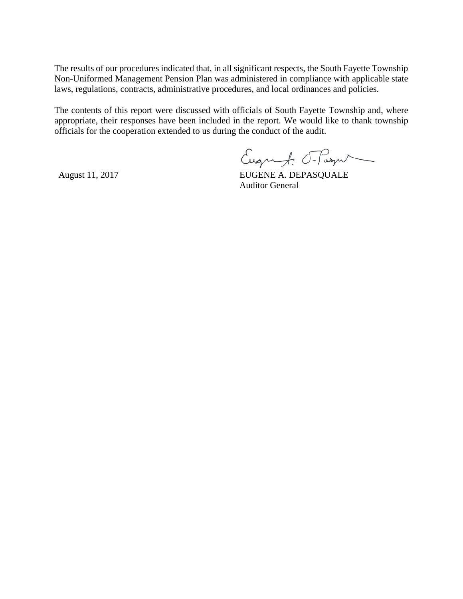The results of our procedures indicated that, in all significant respects, the South Fayette Township Non-Uniformed Management Pension Plan was administered in compliance with applicable state laws, regulations, contracts, administrative procedures, and local ordinances and policies.

The contents of this report were discussed with officials of South Fayette Township and, where appropriate, their responses have been included in the report. We would like to thank township officials for the cooperation extended to us during the conduct of the audit.

Eugenf: Frage

August 11, 2017 EUGENE A. DEPASQUALE Auditor General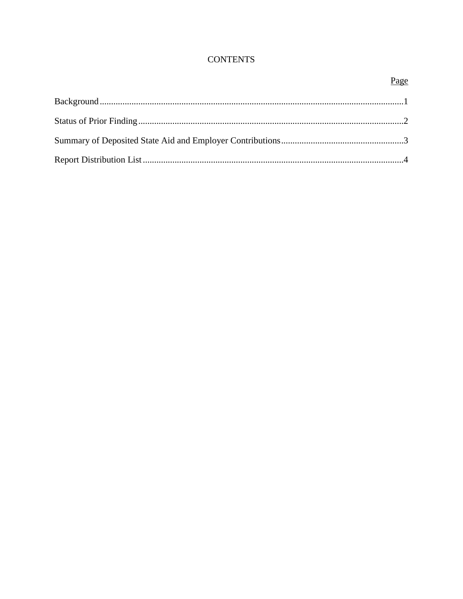#### **CONTENTS**

#### Page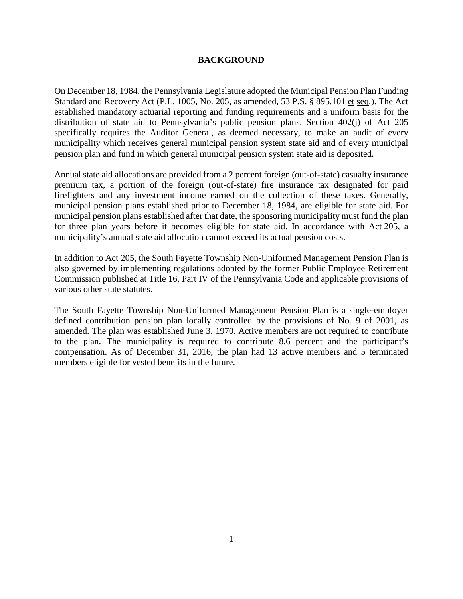#### **BACKGROUND**

On December 18, 1984, the Pennsylvania Legislature adopted the Municipal Pension Plan Funding Standard and Recovery Act (P.L. 1005, No. 205, as amended, 53 P.S. § 895.101 et seq.). The Act established mandatory actuarial reporting and funding requirements and a uniform basis for the distribution of state aid to Pennsylvania's public pension plans. Section 402(j) of Act 205 specifically requires the Auditor General, as deemed necessary, to make an audit of every municipality which receives general municipal pension system state aid and of every municipal pension plan and fund in which general municipal pension system state aid is deposited.

Annual state aid allocations are provided from a 2 percent foreign (out-of-state) casualty insurance premium tax, a portion of the foreign (out-of-state) fire insurance tax designated for paid firefighters and any investment income earned on the collection of these taxes. Generally, municipal pension plans established prior to December 18, 1984, are eligible for state aid. For municipal pension plans established after that date, the sponsoring municipality must fund the plan for three plan years before it becomes eligible for state aid. In accordance with Act 205, a municipality's annual state aid allocation cannot exceed its actual pension costs.

In addition to Act 205, the South Fayette Township Non-Uniformed Management Pension Plan is also governed by implementing regulations adopted by the former Public Employee Retirement Commission published at Title 16, Part IV of the Pennsylvania Code and applicable provisions of various other state statutes.

The South Fayette Township Non-Uniformed Management Pension Plan is a single-employer defined contribution pension plan locally controlled by the provisions of No. 9 of 2001, as amended. The plan was established June 3, 1970. Active members are not required to contribute to the plan. The municipality is required to contribute 8.6 percent and the participant's compensation. As of December 31, 2016, the plan had 13 active members and 5 terminated members eligible for vested benefits in the future.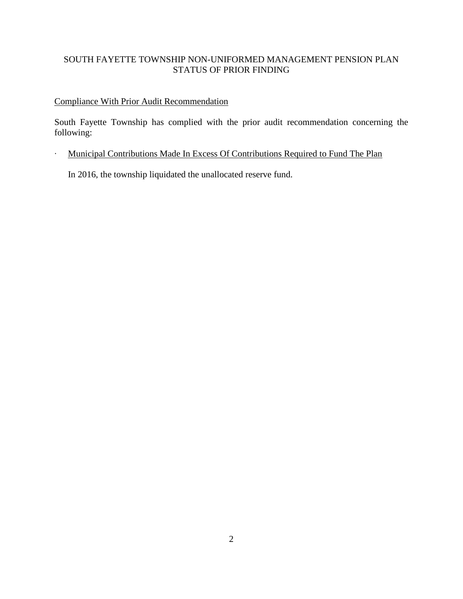#### SOUTH FAYETTE TOWNSHIP NON-UNIFORMED MANAGEMENT PENSION PLAN STATUS OF PRIOR FINDING

#### Compliance With Prior Audit Recommendation

South Fayette Township has complied with the prior audit recommendation concerning the following:

∙ Municipal Contributions Made In Excess Of Contributions Required to Fund The Plan

In 2016, the township liquidated the unallocated reserve fund.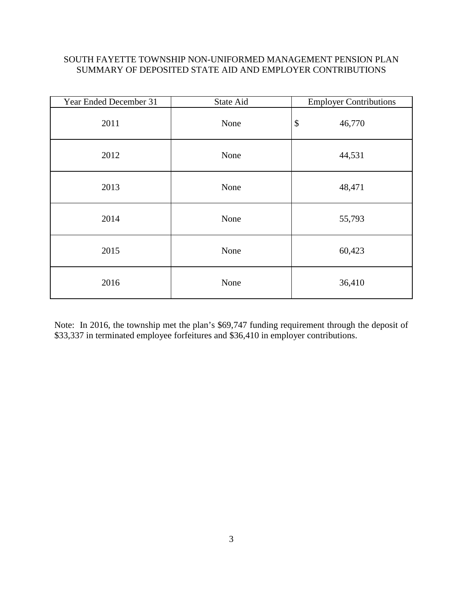#### SOUTH FAYETTE TOWNSHIP NON-UNIFORMED MANAGEMENT PENSION PLAN SUMMARY OF DEPOSITED STATE AID AND EMPLOYER CONTRIBUTIONS

| Year Ended December 31 | State Aid | <b>Employer Contributions</b>       |
|------------------------|-----------|-------------------------------------|
| 2011                   | None      | $\boldsymbol{\mathsf{S}}$<br>46,770 |
| 2012                   | None      | 44,531                              |
| 2013                   | None      | 48,471                              |
| 2014                   | None      | 55,793                              |
| 2015                   | None      | 60,423                              |
| 2016                   | None      | 36,410                              |

Note: In 2016, the township met the plan's \$69,747 funding requirement through the deposit of \$33,337 in terminated employee forfeitures and \$36,410 in employer contributions.